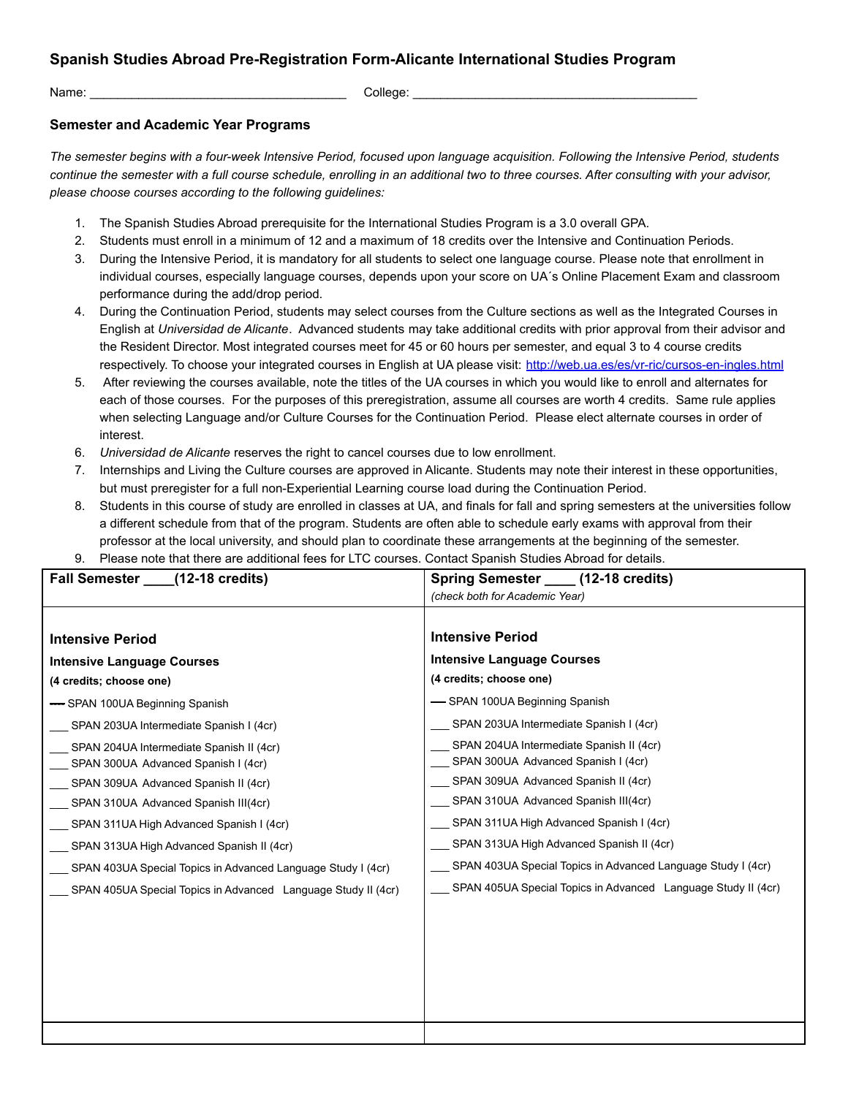## **Spanish Studies Abroad Pre-Registration Form-Alicante International Studies Program**

Name: \_\_\_\_\_\_\_\_\_\_\_\_\_\_\_\_\_\_\_\_\_\_\_\_\_\_\_\_\_\_\_\_\_\_\_\_\_ College: \_\_\_\_\_\_\_\_\_\_\_\_\_\_\_\_\_\_\_\_\_\_\_\_\_\_\_\_\_\_\_\_\_\_\_\_\_\_\_\_\_

## **Semester and Academic Year Programs**

*The semester begins with a four-week Intensive Period, focused upon language acquisition. Following the Intensive Period, students continue the semester with a full course schedule, enrolling in an additional two to three courses. After consulting with your advisor, please choose courses according to the following guidelines:*

- 1. The Spanish Studies Abroad prerequisite for the International Studies Program is a 3.0 overall GPA.
- 2. Students must enroll in a minimum of 12 and a maximum of 18 credits over the Intensive and Continuation Periods.
- 3. During the Intensive Period, it is mandatory for all students to select one language course. Please note that enrollment in individual courses, especially language courses, depends upon your score on UA´s Online Placement Exam and classroom performance during the add/drop period.
- 4. During the Continuation Period, students may select courses from the Culture sections as well as the Integrated Courses in English at *Universidad de Alicante*. Advanced students may take additional credits with prior approval from their advisor and the Resident Director. Most integrated courses meet for 45 or 60 hours per semester, and equal 3 to 4 course credits respectively. To choose your integrated courses in English at UA please visit: <http://web.ua.es/es/vr-ric/cursos-en-ingles.html>
- 5. After reviewing the courses available, note the titles of the UA courses in which you would like to enroll and alternates for each of those courses. For the purposes of this preregistration, assume all courses are worth 4 credits. Same rule applies when selecting Language and/or Culture Courses for the Continuation Period. Please elect alternate courses in order of interest.
- 6. *Universidad de Alicante* reserves the right to cancel courses due to low enrollment.
- 7. Internships and Living the Culture courses are approved in Alicante. Students may note their interest in these opportunities, but must preregister for a full non-Experiential Learning course load during the Continuation Period.
- 8. Students in this course of study are enrolled in classes at UA, and finals for fall and spring semesters at the universities follow a different schedule from that of the program. Students are often able to schedule early exams with approval from their professor at the local university, and should plan to coordinate these arrangements at the beginning of the semester.
- 9. Please note that there are additional fees for LTC courses. Contact Spanish Studies Abroad for details.

| Fall Semester ____(12-18 credits)                                               | Spring Semester _____ (12-18 credits)                                           |
|---------------------------------------------------------------------------------|---------------------------------------------------------------------------------|
|                                                                                 | (check both for Academic Year)                                                  |
|                                                                                 |                                                                                 |
| <b>Intensive Period</b>                                                         | <b>Intensive Period</b>                                                         |
| <b>Intensive Language Courses</b>                                               | <b>Intensive Language Courses</b>                                               |
| (4 credits; choose one)                                                         | (4 credits; choose one)                                                         |
| -SPAN 100UA Beginning Spanish                                                   | -SPAN 100UA Beginning Spanish                                                   |
| SPAN 203UA Intermediate Spanish I (4cr)                                         | SPAN 203UA Intermediate Spanish I (4cr)                                         |
| SPAN 204UA Intermediate Spanish II (4cr)<br>SPAN 300UA Advanced Spanish I (4cr) | SPAN 204UA Intermediate Spanish II (4cr)<br>SPAN 300UA Advanced Spanish I (4cr) |
| SPAN 309UA Advanced Spanish II (4cr)                                            | SPAN 309UA Advanced Spanish II (4cr)                                            |
| SPAN 310UA Advanced Spanish III(4cr)                                            | SPAN 310UA Advanced Spanish III(4cr)                                            |
| SPAN 311UA High Advanced Spanish I (4cr)                                        | SPAN 311UA High Advanced Spanish I (4cr)                                        |
| SPAN 313UA High Advanced Spanish II (4cr)                                       | SPAN 313UA High Advanced Spanish II (4cr)                                       |
| SPAN 403UA Special Topics in Advanced Language Study I (4cr)                    | SPAN 403UA Special Topics in Advanced Language Study I (4cr)                    |
| SPAN 405UA Special Topics in Advanced Language Study II (4cr)                   | SPAN 405UA Special Topics in Advanced Language Study II (4cr)                   |
|                                                                                 |                                                                                 |
|                                                                                 |                                                                                 |
|                                                                                 |                                                                                 |
|                                                                                 |                                                                                 |
|                                                                                 |                                                                                 |
|                                                                                 |                                                                                 |
|                                                                                 |                                                                                 |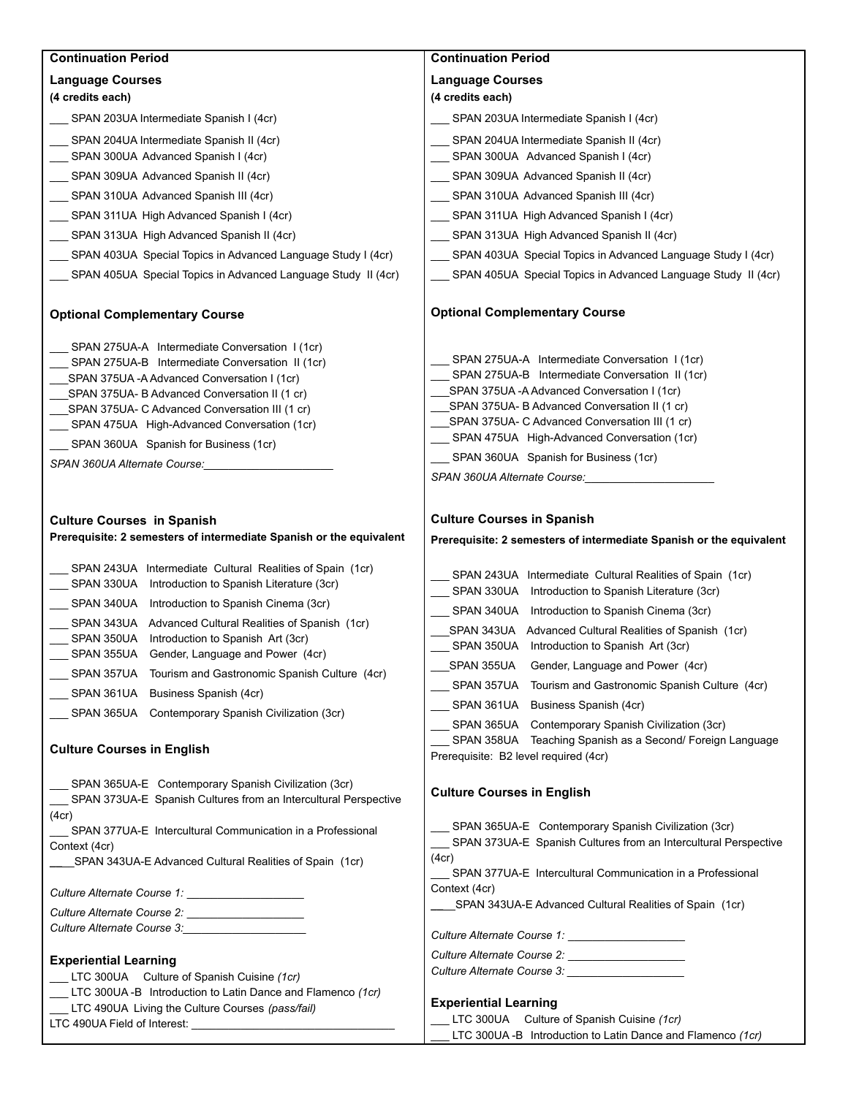| <b>Continuation Period</b>                                                                                                                                                                                                                                                                                                                                                 | <b>Continuation Period</b>                                                                                                                                                                                                                                                                                                                  |
|----------------------------------------------------------------------------------------------------------------------------------------------------------------------------------------------------------------------------------------------------------------------------------------------------------------------------------------------------------------------------|---------------------------------------------------------------------------------------------------------------------------------------------------------------------------------------------------------------------------------------------------------------------------------------------------------------------------------------------|
| <b>Language Courses</b><br>(4 credits each)                                                                                                                                                                                                                                                                                                                                | <b>Language Courses</b><br>(4 credits each)                                                                                                                                                                                                                                                                                                 |
| ___ SPAN 203UA Intermediate Spanish I (4cr)                                                                                                                                                                                                                                                                                                                                | SPAN 203UA Intermediate Spanish I (4cr)                                                                                                                                                                                                                                                                                                     |
| __ SPAN 204UA Intermediate Spanish II (4cr)<br>__ SPAN 300UA Advanced Spanish I (4cr)                                                                                                                                                                                                                                                                                      | SPAN 204UA Intermediate Spanish II (4cr)<br>SPAN 300UA Advanced Spanish I (4cr)                                                                                                                                                                                                                                                             |
| SPAN 309UA Advanced Spanish II (4cr)                                                                                                                                                                                                                                                                                                                                       | SPAN 309UA Advanced Spanish II (4cr)                                                                                                                                                                                                                                                                                                        |
| __ SPAN 310UA Advanced Spanish III (4cr)                                                                                                                                                                                                                                                                                                                                   | SPAN 310UA Advanced Spanish III (4cr)                                                                                                                                                                                                                                                                                                       |
| __ SPAN 311UA High Advanced Spanish I (4cr)                                                                                                                                                                                                                                                                                                                                | __ SPAN 311UA High Advanced Spanish I (4cr)                                                                                                                                                                                                                                                                                                 |
| SPAN 313UA High Advanced Spanish II (4cr)                                                                                                                                                                                                                                                                                                                                  | SPAN 313UA High Advanced Spanish II (4cr)                                                                                                                                                                                                                                                                                                   |
|                                                                                                                                                                                                                                                                                                                                                                            |                                                                                                                                                                                                                                                                                                                                             |
| SPAN 403UA Special Topics in Advanced Language Study I (4cr)                                                                                                                                                                                                                                                                                                               | SPAN 403UA Special Topics in Advanced Language Study I (4cr)                                                                                                                                                                                                                                                                                |
| SPAN 405UA Special Topics in Advanced Language Study II (4cr)                                                                                                                                                                                                                                                                                                              | SPAN 405UA Special Topics in Advanced Language Study II (4cr)                                                                                                                                                                                                                                                                               |
| <b>Optional Complementary Course</b>                                                                                                                                                                                                                                                                                                                                       | <b>Optional Complementary Course</b>                                                                                                                                                                                                                                                                                                        |
| SPAN 275UA-A Intermediate Conversation 1 (1cr)<br>SPAN 275UA-B Intermediate Conversation II (1cr)<br>SPAN 375UA-A Advanced Conversation I (1cr)<br>SPAN 375UA- B Advanced Conversation II (1 cr)<br>SPAN 375UA- C Advanced Conversation III (1 cr)<br>SPAN 475UA High-Advanced Conversation (1cr)<br>SPAN 360UA Spanish for Business (1cr)<br>SPAN 360UA Alternate Course: | SPAN 275UA-A Intermediate Conversation 1(1cr)<br>SPAN 275UA-B Intermediate Conversation II (1cr)<br>SPAN 375UA - A Advanced Conversation I (1cr)<br>SPAN 375UA- B Advanced Conversation II (1 cr)<br>SPAN 375UA- C Advanced Conversation III (1 cr)<br>SPAN 475UA High-Advanced Conversation (1cr)<br>SPAN 360UA Spanish for Business (1cr) |
| <b>Culture Courses in Spanish</b><br>Prerequisite: 2 semesters of intermediate Spanish or the equivalent                                                                                                                                                                                                                                                                   | <b>Culture Courses in Spanish</b><br>Prerequisite: 2 semesters of intermediate Spanish or the equivalent                                                                                                                                                                                                                                    |
| SPAN 243UA Intermediate Cultural Realities of Spain (1cr)<br>SPAN 330UA Introduction to Spanish Literature (3cr)                                                                                                                                                                                                                                                           | SPAN 243UA Intermediate Cultural Realities of Spain (1cr)<br>SPAN 330UA Introduction to Spanish Literature (3cr)                                                                                                                                                                                                                            |
| SPAN 340UA Introduction to Spanish Cinema (3cr)                                                                                                                                                                                                                                                                                                                            | SPAN 340UA Introduction to Spanish Cinema (3cr)                                                                                                                                                                                                                                                                                             |
| SPAN 343UA Advanced Cultural Realities of Spanish (1cr)<br>Introduction to Spanish Art (3cr)<br>SPAN 350UA<br>SPAN 355UA<br>Gender, Language and Power (4cr)                                                                                                                                                                                                               | SPAN 343UA Advanced Cultural Realities of Spanish (1cr)<br>SPAN 350UA Introduction to Spanish Art (3cr)                                                                                                                                                                                                                                     |
| SPAN 357UA Tourism and Gastronomic Spanish Culture (4cr)                                                                                                                                                                                                                                                                                                                   | SPAN 355UA Gender, Language and Power (4cr)                                                                                                                                                                                                                                                                                                 |
| SPAN 361UA Business Spanish (4cr)                                                                                                                                                                                                                                                                                                                                          | SPAN 357UA Tourism and Gastronomic Spanish Culture (4cr)                                                                                                                                                                                                                                                                                    |
| SPAN 365UA Contemporary Spanish Civilization (3cr)                                                                                                                                                                                                                                                                                                                         | ___ SPAN 361UA Business Spanish (4cr)                                                                                                                                                                                                                                                                                                       |
| <b>Culture Courses in English</b>                                                                                                                                                                                                                                                                                                                                          | SPAN 365UA Contemporary Spanish Civilization (3cr)<br>SPAN 358UA Teaching Spanish as a Second/ Foreign Language<br>Prerequisite: B2 level required (4cr)                                                                                                                                                                                    |
| __ SPAN 365UA-E Contemporary Spanish Civilization (3cr)<br>SPAN 373UA-E Spanish Cultures from an Intercultural Perspective                                                                                                                                                                                                                                                 | <b>Culture Courses in English</b>                                                                                                                                                                                                                                                                                                           |
| (4cr)<br>SPAN 377UA-E Intercultural Communication in a Professional<br>Context (4cr)<br>SPAN 343UA-E Advanced Cultural Realities of Spain (1cr)                                                                                                                                                                                                                            | SPAN 365UA-E Contemporary Spanish Civilization (3cr)<br>SPAN 373UA-E Spanish Cultures from an Intercultural Perspective<br>(4cr)                                                                                                                                                                                                            |
| Culture Alternate Course 1:                                                                                                                                                                                                                                                                                                                                                | SPAN 377UA-E Intercultural Communication in a Professional<br>Context (4cr)                                                                                                                                                                                                                                                                 |
|                                                                                                                                                                                                                                                                                                                                                                            | SPAN 343UA-E Advanced Cultural Realities of Spain (1cr)                                                                                                                                                                                                                                                                                     |
|                                                                                                                                                                                                                                                                                                                                                                            | Culture Alternate Course 1: New York Culture Alternate Course 1:                                                                                                                                                                                                                                                                            |
|                                                                                                                                                                                                                                                                                                                                                                            |                                                                                                                                                                                                                                                                                                                                             |
| <b>Experiential Learning</b><br>LTC 300UA Culture of Spanish Cuisine (1cr)                                                                                                                                                                                                                                                                                                 | Culture Alternate Course 3: Culture Alternate Course 3:                                                                                                                                                                                                                                                                                     |
| LTC 300UA-B Introduction to Latin Dance and Flamenco (1cr)                                                                                                                                                                                                                                                                                                                 |                                                                                                                                                                                                                                                                                                                                             |
| LTC 490UA Living the Culture Courses (pass/fail)                                                                                                                                                                                                                                                                                                                           | <b>Experiential Learning</b>                                                                                                                                                                                                                                                                                                                |
|                                                                                                                                                                                                                                                                                                                                                                            | LTC 300UA Culture of Spanish Cuisine (1cr)<br>LTC 300UA-B Introduction to Latin Dance and Flamenco (1cr)                                                                                                                                                                                                                                    |